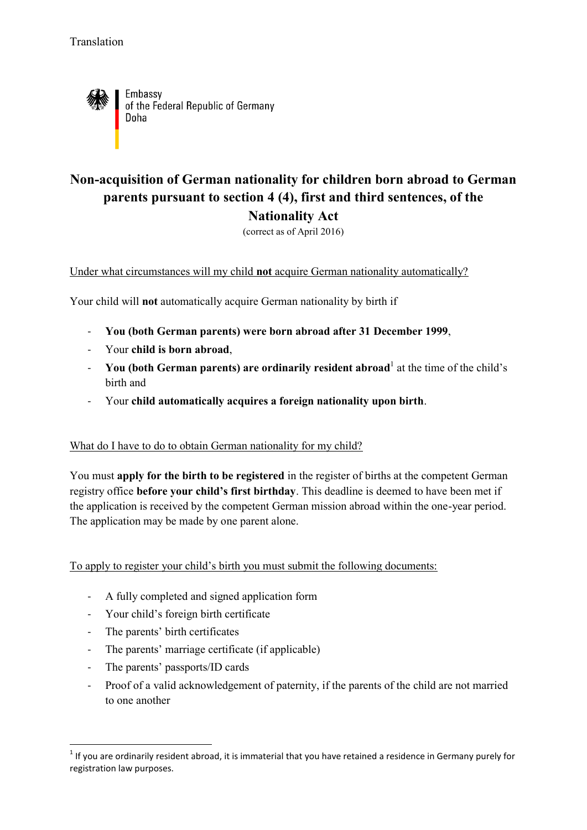

Embassy of the Federal Republic of Germany Doha

## **Non-acquisition of German nationality for children born abroad to German parents pursuant to section 4 (4), first and third sentences, of the Nationality Act**

(correct as of April 2016)

Under what circumstances will my child **not** acquire German nationality automatically?

Your child will **not** automatically acquire German nationality by birth if

- **You (both German parents) were born abroad after 31 December 1999**,
- Your **child is born abroad**,
- **The UP of Seman parents) are ordinarily resident abroad** at the time of the child's birth and
- Your **child automatically acquires a foreign nationality upon birth**.

## What do I have to do to obtain German nationality for my child?

You must **apply for the birth to be registered** in the register of births at the competent German registry office **before your child's first birthday**. This deadline is deemed to have been met if the application is received by the competent German mission abroad within the one-year period. The application may be made by one parent alone.

To apply to register your child's birth you must submit the following documents:

- A fully completed and signed application form
- Your child's foreign birth certificate
- The parents' birth certificates
- The parents' marriage certificate (if applicable)
- The parents' passports/ID cards

**.** 

- Proof of a valid acknowledgement of paternity, if the parents of the child are not married to one another

 $<sup>1</sup>$  If you are ordinarily resident abroad, it is immaterial that you have retained a residence in Germany purely for</sup> registration law purposes.